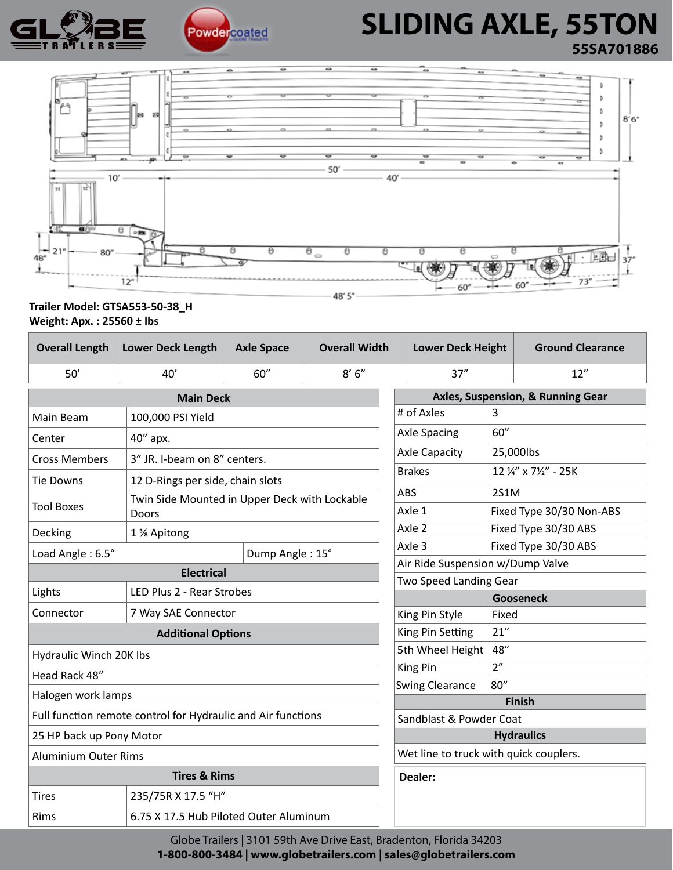



# **A ROWGOGOGOGOGO SLIDING AXLE, 55TON 55SA701886**



## **Trailer Model: GTSA553-50-38\_H Weight: Apx. : 25560 ± lbs**

| <b>Overall Length</b>                                        | <b>Lower Deck Length</b>                               | <b>Axle Space</b>                | <b>Overall Width</b> |                 | <b>Lower Deck Height</b>               |                          | <b>Ground Clearance</b> |  |
|--------------------------------------------------------------|--------------------------------------------------------|----------------------------------|----------------------|-----------------|----------------------------------------|--------------------------|-------------------------|--|
| 50'                                                          | 40'                                                    | 60"                              | 8'6''                |                 | 37''                                   |                          | 12"                     |  |
| <b>Main Deck</b>                                             |                                                        |                                  |                      |                 | Axles, Suspension, & Running Gear      |                          |                         |  |
| Main Beam                                                    | 100,000 PSI Yield                                      |                                  |                      |                 | # of Axles<br>3                        |                          |                         |  |
| Center                                                       | 40" арх.                                               |                                  |                      |                 | 60''<br><b>Axle Spacing</b>            |                          |                         |  |
| <b>Cross Members</b>                                         |                                                        | 3" JR. I-beam on 8" centers.     |                      |                 | <b>Axle Capacity</b>                   |                          | 25,000lbs               |  |
| <b>Tie Downs</b>                                             |                                                        | 12 D-Rings per side, chain slots |                      |                 | <b>Brakes</b>                          |                          | 12 1/2" x 71/2" - 25K   |  |
|                                                              | Twin Side Mounted in Upper Deck with Lockable<br>Doors |                                  |                      | <b>ABS</b>      |                                        | 2S1M                     |                         |  |
| <b>Tool Boxes</b>                                            |                                                        |                                  |                      |                 | Axle 1                                 | Fixed Type 30/30 Non-ABS |                         |  |
| Decking                                                      | 1 % Apitong                                            |                                  |                      |                 | Axle 2                                 |                          | Fixed Type 30/30 ABS    |  |
| Load Angle: 6.5°                                             |                                                        |                                  | Dump Angle: 15°      |                 | Axle 3                                 |                          | Fixed Type 30/30 ABS    |  |
| <b>Electrical</b>                                            |                                                        |                                  |                      |                 | Air Ride Suspension w/Dump Valve       |                          |                         |  |
| LED Plus 2 - Rear Strobes                                    |                                                        |                                  |                      |                 | Two Speed Landing Gear                 |                          |                         |  |
| Lights                                                       |                                                        |                                  |                      |                 | <b>Gooseneck</b>                       |                          |                         |  |
| Connector<br>7 Way SAE Connector                             |                                                        |                                  |                      |                 | King Pin Style<br>Fixed                |                          |                         |  |
| <b>Additional Options</b>                                    |                                                        |                                  |                      |                 | King Pin Setting                       | 21''                     |                         |  |
| Hydraulic Winch 20K lbs                                      |                                                        |                                  |                      |                 | 5th Wheel Height                       | 48"                      |                         |  |
| Head Rack 48"                                                |                                                        |                                  |                      | <b>King Pin</b> | 2 <sup>n</sup>                         |                          |                         |  |
| Halogen work lamps                                           |                                                        |                                  |                      |                 | <b>Swing Clearance</b>                 | 80''                     |                         |  |
|                                                              |                                                        |                                  |                      |                 | <b>Finish</b>                          |                          |                         |  |
| Full function remote control for Hydraulic and Air functions |                                                        |                                  |                      |                 | Sandblast & Powder Coat                |                          |                         |  |
| 25 HP back up Pony Motor                                     |                                                        |                                  |                      |                 | <b>Hydraulics</b>                      |                          |                         |  |
| <b>Aluminium Outer Rims</b>                                  |                                                        |                                  |                      |                 | Wet line to truck with quick couplers. |                          |                         |  |
| <b>Tires &amp; Rims</b>                                      |                                                        |                                  |                      |                 | Dealer:                                |                          |                         |  |
| <b>Tires</b>                                                 |                                                        | 235/75R X 17.5 "H"               |                      |                 |                                        |                          |                         |  |
| <b>Rims</b>                                                  | 6.75 X 17.5 Hub Piloted Outer Aluminum                 |                                  |                      |                 |                                        |                          |                         |  |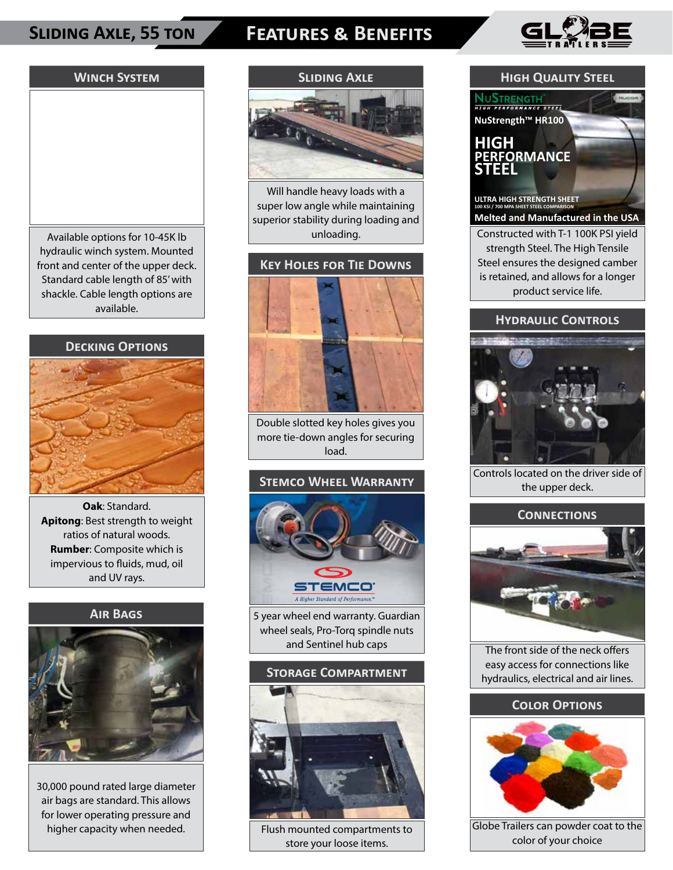## **Sliding Axle, 55 ton Features & Benefits**



#### **Winch System**

Available options for 10-45K lb hydraulic winch system. Mounted front and center of the upper deck. Standard cable length of 85' with shackle. Cable length options are available.

#### **Decking Options**



**Oak**: Standard. **Apitong**: Best strength to weight ratios of natural woods. **Rumber**: Composite which is impervious to fluids, mud, oil and UV rays.



30,000 pound rated large diameter air bags are standard. This allows for lower operating pressure and higher capacity when needed.

# **Sliding Axle**

Will handle heavy loads with a super low angle while maintaining superior stability during loading and unloading.

#### **Key Holes for Tie Downs**



Double slotted key holes gives you more tie-down angles for securing load.

## **Stemco Wheel Warranty**



**AIR BAGS** 5 year wheel end warranty. Guardian wheel seals, Pro-Torq spindle nuts and Sentinel hub caps



Flush mounted compartments to store your loose items.

#### **High Quality Steel**



#### **Melted and Manufactured in the USA**

Constructed with T-1 100K PSI yield strength Steel. The High Tensile Steel ensures the designed camber is retained, and allows for a longer product service life.

## **Hydraulic Controls**



Controls located on the driver side of the upper deck.

#### **Connections**



The front side of the neck offers easy access for connections like hydraulics, electrical and air lines.

#### **Color Options**



Globe Trailers can powder coat to the color of your choice